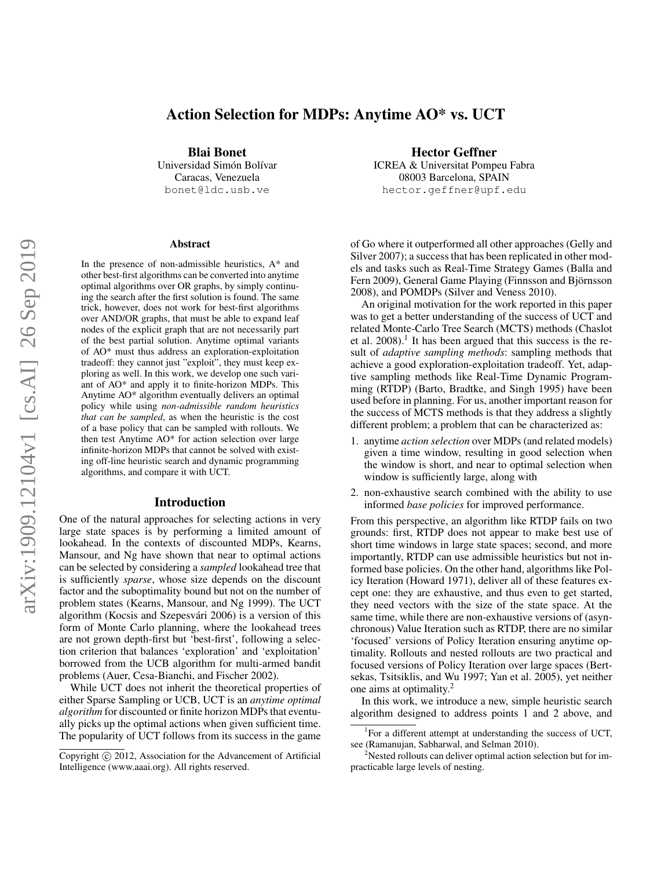# Action Selection for MDPs: Anytime AO\* vs. UCT

Blai Bonet Universidad Simón Bolívar Caracas, Venezuela bonet@ldc.usb.ve

#### Abstract

In the presence of non-admissible heuristics,  $A^*$  and other best-first algorithms can be converted into anytime optimal algorithms over OR graphs, by simply continuing the search after the first solution is found. The same trick, however, does not work for best-first algorithms over AND/OR graphs, that must be able to expand leaf nodes of the explicit graph that are not necessarily part of the best partial solution. Anytime optimal variants of AO\* must thus address an exploration-exploitation tradeoff: they cannot just "exploit", they must keep exploring as well. In this work, we develop one such variant of AO\* and apply it to finite-horizon MDPs. This Anytime AO\* algorithm eventually delivers an optimal policy while using *non-admissible random heuristics that can be sampled*, as when the heuristic is the cost of a base policy that can be sampled with rollouts. We then test Anytime AO\* for action selection over large infinite-horizon MDPs that cannot be solved with existing off-line heuristic search and dynamic programming algorithms, and compare it with UCT.

#### Introduction

One of the natural approaches for selecting actions in very large state spaces is by performing a limited amount of lookahead. In the contexts of discounted MDPs, Kearns, Mansour, and Ng have shown that near to optimal actions can be selected by considering a *sampled* lookahead tree that is sufficiently *sparse*, whose size depends on the discount factor and the suboptimality bound but not on the number of problem states (Kearns, Mansour, and Ng 1999). The UCT algorithm (Kocsis and Szepesvári 2006) is a version of this form of Monte Carlo planning, where the lookahead trees are not grown depth-first but 'best-first', following a selection criterion that balances 'exploration' and 'exploitation' borrowed from the UCB algorithm for multi-armed bandit problems (Auer, Cesa-Bianchi, and Fischer 2002).

While UCT does not inherit the theoretical properties of either Sparse Sampling or UCB, UCT is an *anytime optimal algorithm* for discounted or finite horizon MDPs that eventually picks up the optimal actions when given sufficient time. The popularity of UCT follows from its success in the game

Hector Geffner ICREA & Universitat Pompeu Fabra 08003 Barcelona, SPAIN hector.geffner@upf.edu

of Go where it outperformed all other approaches (Gelly and Silver 2007); a success that has been replicated in other models and tasks such as Real-Time Strategy Games (Balla and Fern 2009), General Game Playing (Finnsson and Björnsson 2008), and POMDPs (Silver and Veness 2010).

An original motivation for the work reported in this paper was to get a better understanding of the success of UCT and related Monte-Carlo Tree Search (MCTS) methods (Chaslot et al.  $2008$ ).<sup>1</sup> It has been argued that this success is the result of *adaptive sampling methods*: sampling methods that achieve a good exploration-exploitation tradeoff. Yet, adaptive sampling methods like Real-Time Dynamic Programming (RTDP) (Barto, Bradtke, and Singh 1995) have been used before in planning. For us, another important reason for the success of MCTS methods is that they address a slightly different problem; a problem that can be characterized as:

- 1. anytime *action selection* over MDPs (and related models) given a time window, resulting in good selection when the window is short, and near to optimal selection when window is sufficiently large, along with
- 2. non-exhaustive search combined with the ability to use informed *base policies* for improved performance.

From this perspective, an algorithm like RTDP fails on two grounds: first, RTDP does not appear to make best use of short time windows in large state spaces; second, and more importantly, RTDP can use admissible heuristics but not informed base policies. On the other hand, algorithms like Policy Iteration (Howard 1971), deliver all of these features except one: they are exhaustive, and thus even to get started, they need vectors with the size of the state space. At the same time, while there are non-exhaustive versions of (asynchronous) Value Iteration such as RTDP, there are no similar 'focused' versions of Policy Iteration ensuring anytime optimality. Rollouts and nested rollouts are two practical and focused versions of Policy Iteration over large spaces (Bertsekas, Tsitsiklis, and Wu 1997; Yan et al. 2005), yet neither one aims at optimality.<sup>2</sup>

In this work, we introduce a new, simple heuristic search algorithm designed to address points 1 and 2 above, and

Copyright (c) 2012, Association for the Advancement of Artificial Intelligence (www.aaai.org). All rights reserved.

<sup>&</sup>lt;sup>1</sup>For a different attempt at understanding the success of UCT, see (Ramanujan, Sabharwal, and Selman 2010).

<sup>&</sup>lt;sup>2</sup>Nested rollouts can deliver optimal action selection but for impracticable large levels of nesting.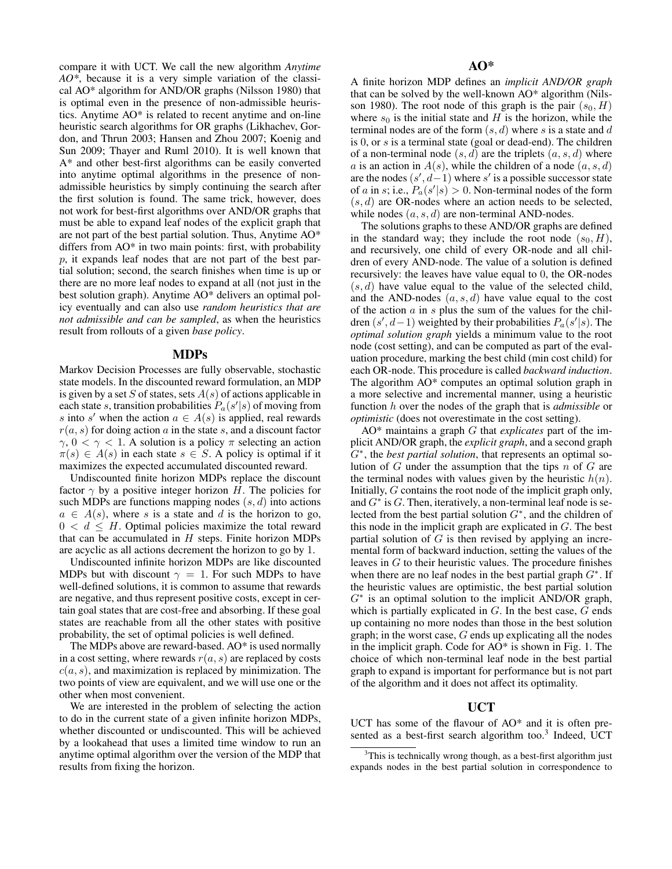compare it with UCT. We call the new algorithm *Anytime AO\**, because it is a very simple variation of the classical AO\* algorithm for AND/OR graphs (Nilsson 1980) that is optimal even in the presence of non-admissible heuristics. Anytime AO\* is related to recent anytime and on-line heuristic search algorithms for OR graphs (Likhachev, Gordon, and Thrun 2003; Hansen and Zhou 2007; Koenig and Sun 2009; Thayer and Ruml 2010). It is well known that A\* and other best-first algorithms can be easily converted into anytime optimal algorithms in the presence of nonadmissible heuristics by simply continuing the search after the first solution is found. The same trick, however, does not work for best-first algorithms over AND/OR graphs that must be able to expand leaf nodes of the explicit graph that are not part of the best partial solution. Thus, Anytime AO\* differs from AO\* in two main points: first, with probability p, it expands leaf nodes that are not part of the best partial solution; second, the search finishes when time is up or there are no more leaf nodes to expand at all (not just in the best solution graph). Anytime AO\* delivers an optimal policy eventually and can also use *random heuristics that are not admissible and can be sampled*, as when the heuristics result from rollouts of a given *base policy*.

#### MDPs

Markov Decision Processes are fully observable, stochastic state models. In the discounted reward formulation, an MDP is given by a set S of states, sets  $A(s)$  of actions applicable in each state s, transition probabilities  $P_a(s'|s)$  of moving from s into s' when the action  $a \in A(s)$  is applied, real rewards  $r(a, s)$  for doing action a in the state s, and a discount factor  $\gamma$ ,  $0 < \gamma < 1$ . A solution is a policy  $\pi$  selecting an action  $\pi(s) \in A(s)$  in each state  $s \in S$ . A policy is optimal if it maximizes the expected accumulated discounted reward.

Undiscounted finite horizon MDPs replace the discount factor  $\gamma$  by a positive integer horizon H. The policies for such MDPs are functions mapping nodes  $(s, d)$  into actions  $a \in A(s)$ , where s is a state and d is the horizon to go,  $0 < d \leq H$ . Optimal policies maximize the total reward that can be accumulated in  $H$  steps. Finite horizon MDPs are acyclic as all actions decrement the horizon to go by 1.

Undiscounted infinite horizon MDPs are like discounted MDPs but with discount  $\gamma = 1$ . For such MDPs to have well-defined solutions, it is common to assume that rewards are negative, and thus represent positive costs, except in certain goal states that are cost-free and absorbing. If these goal states are reachable from all the other states with positive probability, the set of optimal policies is well defined.

The MDPs above are reward-based. AO\* is used normally in a cost setting, where rewards  $r(a, s)$  are replaced by costs  $c(a, s)$ , and maximization is replaced by minimization. The two points of view are equivalent, and we will use one or the other when most convenient.

We are interested in the problem of selecting the action to do in the current state of a given infinite horizon MDPs, whether discounted or undiscounted. This will be achieved by a lookahead that uses a limited time window to run an anytime optimal algorithm over the version of the MDP that results from fixing the horizon.

A finite horizon MDP defines an *implicit AND/OR graph* that can be solved by the well-known AO\* algorithm (Nilsson 1980). The root node of this graph is the pair  $(s_0, H)$ where  $s_0$  is the initial state and H is the horizon, while the terminal nodes are of the form  $(s, d)$  where s is a state and d is 0, or s is a terminal state (goal or dead-end). The children of a non-terminal node  $(s, d)$  are the triplets  $(a, s, d)$  where a is an action in  $A(s)$ , while the children of a node  $(a, s, d)$ are the nodes  $(s', d-1)$  where s' is a possible successor state of a in s; i.e.,  $P_a(s'|s) > 0$ . Non-terminal nodes of the form  $(s, d)$  are OR-nodes where an action needs to be selected, while nodes  $(a, s, d)$  are non-terminal AND-nodes.

The solutions graphs to these AND/OR graphs are defined in the standard way; they include the root node  $(s_0, H)$ , and recursively, one child of every OR-node and all children of every AND-node. The value of a solution is defined recursively: the leaves have value equal to 0, the OR-nodes  $(s, d)$  have value equal to the value of the selected child, and the AND-nodes  $(a, s, d)$  have value equal to the cost of the action  $\alpha$  in  $s$  plus the sum of the values for the children  $(s', d-1)$  weighted by their probabilities  $P_a(s'|s)$ . The *optimal solution graph* yields a minimum value to the root node (cost setting), and can be computed as part of the evaluation procedure, marking the best child (min cost child) for each OR-node. This procedure is called *backward induction*. The algorithm AO\* computes an optimal solution graph in a more selective and incremental manner, using a heuristic function h over the nodes of the graph that is *admissible* or *optimistic* (does not overestimate in the cost setting).

AO\* maintains a graph G that *explicates* part of the implicit AND/OR graph, the *explicit graph*, and a second graph G<sup>∗</sup> , the *best partial solution*, that represents an optimal solution of  $G$  under the assumption that the tips  $n$  of  $G$  are the terminal nodes with values given by the heuristic  $h(n)$ . Initially, G contains the root node of the implicit graph only, and  $G^*$  is  $G$ . Then, iteratively, a non-terminal leaf node is selected from the best partial solution  $G^*$ , and the children of this node in the implicit graph are explicated in  $G$ . The best partial solution of  $G$  is then revised by applying an incremental form of backward induction, setting the values of the leaves in  $G$  to their heuristic values. The procedure finishes when there are no leaf nodes in the best partial graph  $G^*$ . If the heuristic values are optimistic, the best partial solution  $G^*$  is an optimal solution to the implicit AND/OR graph, which is partially explicated in  $G$ . In the best case,  $G$  ends up containing no more nodes than those in the best solution graph; in the worst case,  $G$  ends up explicating all the nodes in the implicit graph. Code for AO\* is shown in Fig. 1. The choice of which non-terminal leaf node in the best partial graph to expand is important for performance but is not part of the algorithm and it does not affect its optimality.

### UCT

UCT has some of the flavour of AO\* and it is often presented as a best-first search algorithm too.<sup>3</sup> Indeed, UCT

 $3$ This is technically wrong though, as a best-first algorithm just expands nodes in the best partial solution in correspondence to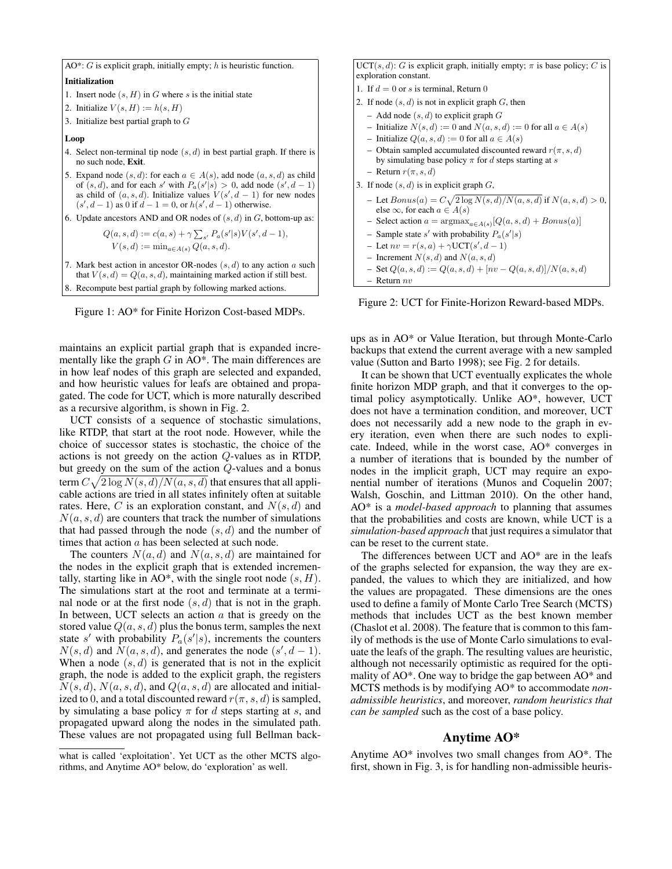AO\*:  $G$  is explicit graph, initially empty;  $h$  is heuristic function.

Initialization

- 1. Insert node  $(s, H)$  in G where s is the initial state
- 2. Initialize  $V(s, H) := h(s, H)$
- 3. Initialize best partial graph to  $G$

Loop

- 4. Select non-terminal tip node  $(s, d)$  in best partial graph. If there is no such node, Exit.
- 5. Expand node  $(s, d)$ : for each  $a \in A(s)$ , add node  $(a, s, d)$  as child of  $(s, d)$ , and for each s' with  $P_a(s'|s) > 0$ , add node  $(s', d - 1)$ as child of  $(a, s, d)$ . Initialize values  $V(s', d - 1)$  for new nodes  $(s', d - 1)$  as 0 if  $d - 1 = 0$ , or  $h(s', d - 1)$  otherwise.
- 6. Update ancestors AND and OR nodes of  $(s, d)$  in  $G$ , bottom-up as:

 $Q(a, s, d) := c(a, s) + \gamma \sum_{s'} P_a(s'|s) V(s', d - 1),$  $V(s, d) := \min_{a \in A(s)} Q(a, s, d).$ 

- 7. Mark best action in ancestor OR-nodes  $(s, d)$  to any action  $a$  such that  $V(s, d) = Q(a, s, d)$ , maintaining marked action if still best.
- 8. Recompute best partial graph by following marked actions.



maintains an explicit partial graph that is expanded incrementally like the graph  $G$  in AO\*. The main differences are in how leaf nodes of this graph are selected and expanded, and how heuristic values for leafs are obtained and propagated. The code for UCT, which is more naturally described as a recursive algorithm, is shown in Fig. 2.

UCT consists of a sequence of stochastic simulations, like RTDP, that start at the root node. However, while the choice of successor states is stochastic, the choice of the actions is not greedy on the action Q-values as in RTDP, but greedy on the sum of the action Q-values and a bonus term  $C\sqrt{2\log N(s,d)/N(a,s,d)}$  that ensures that all applicable actions are tried in all states infinitely often at suitable rates. Here, C is an exploration constant, and  $N(s, d)$  and  $N(a, s, d)$  are counters that track the number of simulations that had passed through the node  $(s, d)$  and the number of times that action  $a$  has been selected at such node.

The counters  $N(a, d)$  and  $N(a, s, d)$  are maintained for the nodes in the explicit graph that is extended incrementally, starting like in AO\*, with the single root node  $(s, H)$ . The simulations start at the root and terminate at a terminal node or at the first node  $(s, d)$  that is not in the graph. In between, UCT selects an action  $a$  that is greedy on the stored value  $Q(a, s, d)$  plus the bonus term, samples the next state s' with probability  $P_a(s'|s)$ , increments the counters  $N(s, d)$  and  $\tilde{N}(a, s, d)$ , and generates the node  $(s', d - 1)$ . When a node  $(s, d)$  is generated that is not in the explicit graph, the node is added to the explicit graph, the registers  $N(s, d)$ ,  $N(a, s, d)$ , and  $Q(a, s, d)$  are allocated and initialized to 0, and a total discounted reward  $r(\pi, s, d)$  is sampled, by simulating a base policy  $\pi$  for d steps starting at s, and propagated upward along the nodes in the simulated path. These values are not propagated using full Bellman backUCT(s, d): G is explicit graph, initially empty;  $\pi$  is base policy; C is exploration constant. 1. If  $d = 0$  or s is terminal, Return 0 2. If node  $(s, d)$  is not in explicit graph  $G$ , then – Add node  $(s, d)$  to explicit graph  $G$ – Initialize  $N(s, d) := 0$  and  $N(a, s, d) := 0$  for all  $a \in A(s)$ – Initialize  $Q(a, s, d) := 0$  for all  $a \in A(s)$ – Obtain sampled accumulated discounted reward  $r(\pi, s, d)$ by simulating base policy  $\pi$  for d steps starting at s – Return  $r(\pi, s, d)$ 3. If node  $(s, d)$  is in explicit graph  $G$ , - Let  $Bonus(a) = C\sqrt{2 \log N(s, d)/N(a, s, d)}$  if  $N(a, s, d) > 0$ , else  $\infty$ , for each  $a \in A(s)$ - Select action  $a = \text{argmax}_{a \in A(s)} [Q(a, s, d) + Bonus(a)]$ - Sample state s' with probability  $P_a(s'|s)$ - Let  $nv = r(s, a) + \gamma \text{UCT}(s', d - 1)$ – Increment  $N(s, d)$  and  $N(a, s, d)$  $-$  Set  $Q(a, s, d) := Q(a, s, d) + [nv - Q(a, s, d)]/N(a, s, d)$  $-$  Return  $nv$ 

Figure 2: UCT for Finite-Horizon Reward-based MDPs.

ups as in AO\* or Value Iteration, but through Monte-Carlo backups that extend the current average with a new sampled value (Sutton and Barto 1998); see Fig. 2 for details.

It can be shown that UCT eventually explicates the whole finite horizon MDP graph, and that it converges to the optimal policy asymptotically. Unlike AO\*, however, UCT does not have a termination condition, and moreover, UCT does not necessarily add a new node to the graph in every iteration, even when there are such nodes to explicate. Indeed, while in the worst case, AO\* converges in a number of iterations that is bounded by the number of nodes in the implicit graph, UCT may require an exponential number of iterations (Munos and Coquelin 2007; Walsh, Goschin, and Littman 2010). On the other hand, AO\* is a *model-based approach* to planning that assumes that the probabilities and costs are known, while UCT is a *simulation-based approach* that just requires a simulator that can be reset to the current state.

The differences between UCT and AO\* are in the leafs of the graphs selected for expansion, the way they are expanded, the values to which they are initialized, and how the values are propagated. These dimensions are the ones used to define a family of Monte Carlo Tree Search (MCTS) methods that includes UCT as the best known member (Chaslot et al. 2008). The feature that is common to this family of methods is the use of Monte Carlo simulations to evaluate the leafs of the graph. The resulting values are heuristic, although not necessarily optimistic as required for the optimality of AO\*. One way to bridge the gap between AO\* and MCTS methods is by modifying AO\* to accommodate *nonadmissible heuristics*, and moreover, *random heuristics that can be sampled* such as the cost of a base policy.

### Anytime AO\*

Anytime AO\* involves two small changes from AO\*. The first, shown in Fig. 3, is for handling non-admissible heuris-

what is called 'exploitation'. Yet UCT as the other MCTS algorithms, and Anytime AO\* below, do 'exploration' as well.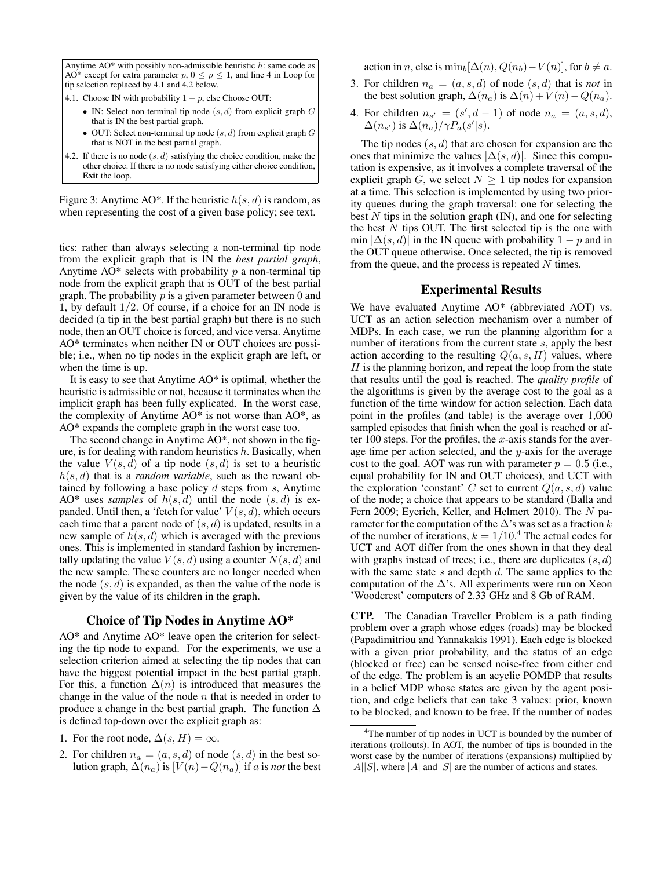Anytime  $AO*$  with possibly non-admissible heuristic  $h$ : same code as AO\* except for extra parameter  $p, 0 \leq p \leq 1$ , and line 4 in Loop for tip selection replaced by 4.1 and 4.2 below.

4.1. Choose IN with probability  $1 - p$ , else Choose OUT:

- IN: Select non-terminal tip node  $(s, d)$  from explicit graph  $G$ that is IN the best partial graph.
- OUT: Select non-terminal tip node  $(s, d)$  from explicit graph  $G$ that is NOT in the best partial graph.
- 4.2. If there is no node  $(s, d)$  satisfying the choice condition, make the other choice. If there is no node satisfying either choice condition, Exit the loop.

Figure 3: Anytime AO\*. If the heuristic  $h(s, d)$  is random, as when representing the cost of a given base policy; see text.

tics: rather than always selecting a non-terminal tip node from the explicit graph that is IN the *best partial graph*, Anytime  $AO^*$  selects with probability  $p$  a non-terminal tip node from the explicit graph that is OUT of the best partial graph. The probability  $p$  is a given parameter between 0 and 1, by default  $1/2$ . Of course, if a choice for an IN node is decided (a tip in the best partial graph) but there is no such node, then an OUT choice is forced, and vice versa. Anytime AO\* terminates when neither IN or OUT choices are possible; i.e., when no tip nodes in the explicit graph are left, or when the time is up.

It is easy to see that Anytime AO\* is optimal, whether the heuristic is admissible or not, because it terminates when the implicit graph has been fully explicated. In the worst case, the complexity of Anytime AO\* is not worse than AO\*, as AO\* expands the complete graph in the worst case too.

The second change in Anytime AO\*, not shown in the figure, is for dealing with random heuristics  $h$ . Basically, when the value  $V(s, d)$  of a tip node  $(s, d)$  is set to a heuristic  $h(s, d)$  that is a *random variable*, such as the reward obtained by following a base policy  $d$  steps from  $s$ , Anytime AO\* uses *samples* of  $h(s, d)$  until the node  $(s, d)$  is expanded. Until then, a 'fetch for value'  $V(s, d)$ , which occurs each time that a parent node of  $(s, d)$  is updated, results in a new sample of  $h(s, d)$  which is averaged with the previous ones. This is implemented in standard fashion by incrementally updating the value  $V(s, d)$  using a counter  $N(s, d)$  and the new sample. These counters are no longer needed when the node  $(s, d)$  is expanded, as then the value of the node is given by the value of its children in the graph.

#### Choice of Tip Nodes in Anytime AO\*

AO\* and Anytime AO\* leave open the criterion for selecting the tip node to expand. For the experiments, we use a selection criterion aimed at selecting the tip nodes that can have the biggest potential impact in the best partial graph. For this, a function  $\Delta(n)$  is introduced that measures the change in the value of the node  $n$  that is needed in order to produce a change in the best partial graph. The function  $\Delta$ is defined top-down over the explicit graph as:

- 1. For the root node,  $\Delta(s, H) = \infty$ .
- 2. For children  $n_a = (a, s, d)$  of node  $(s, d)$  in the best solution graph,  $\Delta(n_a)$  is  $[V(n)-Q(n_a)]$  if a is *not* the best

action in n, else is  $\min_b[\Delta(n), Q(n_b)-V(n)]$ , for  $b \neq a$ .

- 3. For children  $n_a = (a, s, d)$  of node  $(s, d)$  that is *not* in the best solution graph,  $\Delta(n_a)$  is  $\Delta(n) + V(n) - Q(n_a)$ .
- 4. For children  $n_{s'} = (s', d 1)$  of node  $n_a = (a, s, d)$ ,  $\Delta(n_{s'})$  is  $\Delta(n_a)/\gamma P_a(s'|s)$ .

The tip nodes  $(s, d)$  that are chosen for expansion are the ones that minimize the values  $|\Delta(s, d)|$ . Since this computation is expensive, as it involves a complete traversal of the explicit graph G, we select  $N \geq 1$  tip nodes for expansion at a time. This selection is implemented by using two priority queues during the graph traversal: one for selecting the best  $N$  tips in the solution graph (IN), and one for selecting the best  $N$  tips OUT. The first selected tip is the one with min  $|\Delta(s, d)|$  in the IN queue with probability  $1 - p$  and in the OUT queue otherwise. Once selected, the tip is removed from the queue, and the process is repeated  $N$  times.

### Experimental Results

We have evaluated Anytime AO\* (abbreviated AOT) vs. UCT as an action selection mechanism over a number of MDPs. In each case, we run the planning algorithm for a number of iterations from the current state s, apply the best action according to the resulting  $Q(a, s, H)$  values, where  $H$  is the planning horizon, and repeat the loop from the state that results until the goal is reached. The *quality profile* of the algorithms is given by the average cost to the goal as a function of the time window for action selection. Each data point in the profiles (and table) is the average over 1,000 sampled episodes that finish when the goal is reached or after 100 steps. For the profiles, the x-axis stands for the average time per action selected, and the  $y$ -axis for the average cost to the goal. AOT was run with parameter  $p = 0.5$  (i.e., equal probability for IN and OUT choices), and UCT with the exploration 'constant' C set to current  $Q(a, s, d)$  value of the node; a choice that appears to be standard (Balla and Fern 2009; Eyerich, Keller, and Helmert 2010). The N parameter for the computation of the  $\Delta$ 's was set as a fraction k of the number of iterations,  $k = 1/10$ .<sup>4</sup> The actual codes for UCT and AOT differ from the ones shown in that they deal with graphs instead of trees; i.e., there are duplicates  $(s, d)$ with the same state  $s$  and depth  $d$ . The same applies to the computation of the  $\Delta$ 's. All experiments were run on Xeon 'Woodcrest' computers of 2.33 GHz and 8 Gb of RAM.

CTP. The Canadian Traveller Problem is a path finding problem over a graph whose edges (roads) may be blocked (Papadimitriou and Yannakakis 1991). Each edge is blocked with a given prior probability, and the status of an edge (blocked or free) can be sensed noise-free from either end of the edge. The problem is an acyclic POMDP that results in a belief MDP whose states are given by the agent position, and edge beliefs that can take 3 values: prior, known to be blocked, and known to be free. If the number of nodes

<sup>&</sup>lt;sup>4</sup>The number of tip nodes in UCT is bounded by the number of iterations (rollouts). In AOT, the number of tips is bounded in the worst case by the number of iterations (expansions) multiplied by  $|A||S|$ , where  $|A|$  and  $|S|$  are the number of actions and states.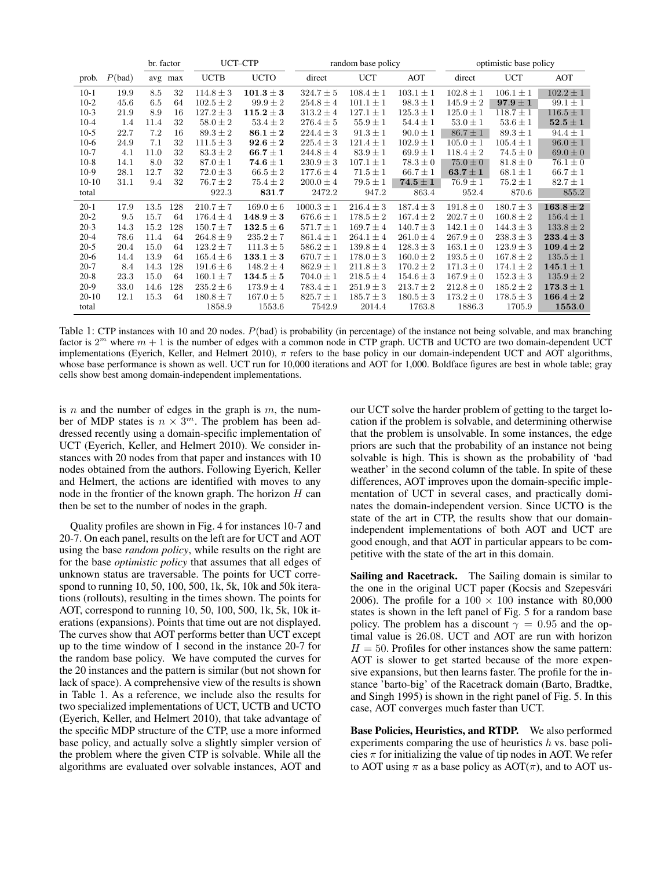|          |        | br. factor |         | UCT-CTP       |                                 | random base policy |               |                                | optimistic base policy |               |                                 |
|----------|--------|------------|---------|---------------|---------------------------------|--------------------|---------------|--------------------------------|------------------------|---------------|---------------------------------|
| prob.    | P(bad) |            | avg max | <b>UCTB</b>   | <b>UCTO</b>                     | direct             | <b>UCT</b>    | AOT                            | direct                 | <b>UCT</b>    | <b>AOT</b>                      |
| $10-1$   | 19.9   | 8.5        | 32      | $114.8 \pm 3$ | $101.3 \pm 3$                   | $324.7 \pm 5$      | $108.4 \pm 1$ | $103.1 \pm 1$                  | $102.8 \pm 1$          | $106.1 \pm 1$ | $102.2 \pm 1$                   |
| $10-2$   | 45.6   | 6.5        | 64      | $102.5 \pm 2$ | $99.9 \pm 2$                    | $254.8 \pm 4$      | $101.1 \pm 1$ | $98.3 \pm 1$                   | $145.9 \pm 2$          | $97.9 \pm 1$  | $99.1 \pm 1$                    |
| $10-3$   | 21.9   | 8.9        | 16      | $127.2 \pm 3$ | $115.2 \pm 3$                   | $313.2 \pm 4$      | $127.1 \pm 1$ | $125.3 \pm 1$                  | $125.0 \pm 1$          | $118.7 \pm 1$ | $116.5 \pm 1$                   |
| $10 - 4$ | 1.4    | 11.4       | 32      | $58.0 \pm 2$  | $53.4 \pm 2$                    | $276.4 \pm 5$      | $55.9 \pm 1$  | $54.4 \pm 1$                   | $53.0 \pm 1$           | $53.6 \pm 1$  | $\textbf{52.5} \pm \textbf{1}$  |
| $10-5$   | 22.7   | 7.2        | 16      | $89.3 \pm 2$  | $86.1 \pm 2$                    | $224.4 \pm 3$      | $91.3 \pm 1$  | $90.0 \pm 1$                   | $86.7 \pm 1$           | $89.3 \pm 1$  | $94.4 \pm 1$                    |
| $10-6$   | 24.9   | 7.1        | 32      | $111.5 \pm 3$ | $92.6 \pm 2$                    | $225.4 \pm 3$      | $121.4 \pm 1$ | $102.9 \pm 1$                  | $105.0 \pm 1$          | $105.4 \pm 1$ | $96.0 \pm 1$                    |
| $10-7$   | 4.1    | 11.0       | 32      | $83.3 \pm 2$  | $66.7 \pm 1$                    | $244.8 \pm 4$      | $83.9 \pm 1$  | $69.9 \pm 1$                   | $118.4 \pm 2$          | $74.5 \pm 0$  | $69.0 \pm 0$                    |
| $10-8$   | 14.1   | 8.0        | 32      | $87.0 \pm 1$  | $74.6 \pm 1$                    | $230.9 \pm 3$      | $107.1 \pm 1$ | $78.3 \pm 0$                   | $75.0 \pm 0$           | $81.8 \pm 0$  | $76.1 \pm 0$                    |
| $10-9$   | 28.1   | 12.7       | 32      | $72.0 \pm 3$  | $66.5 \pm 2$                    | $177.6 \pm 4$      | $71.5 \pm 1$  | $66.7 \pm 1$                   | $63.7 \pm 1$           | $68.1 \pm 1$  | $66.7 \pm 1$                    |
| $10-10$  | 31.1   | 9.4        | 32      | $76.7 \pm 2$  | $75.4 \pm 2$                    | $200.0 \pm 4$      | $79.5 \pm 1$  | $\textbf{74.5} \pm \textbf{1}$ | $76.9 \pm 1$           | $75.2 \pm 1$  | $82.7 \pm 1$                    |
| total    |        |            |         | 922.3         | 831.7                           | 2472.2             | 947.2         | 863.4                          | 952.4                  | 870.6         | 855.2                           |
| $20-1$   | 17.9   | 13.5       | 128     | $210.7 \pm 7$ | $169.0 \pm 6$                   | $1000.3 \pm 1$     | $216.4 \pm 3$ | $187.4 \pm 3$                  | $191.8 \pm 0$          | $180.7 \pm 3$ | $\textbf{163.8} \pm \textbf{2}$ |
| $20 - 2$ | 9.5    | 15.7       | 64      | $176.4 \pm 4$ | $148.9 \pm 3$                   | $676.6 \pm 1$      | $178.5 \pm 2$ | $167.4 \pm 2$                  | $202.7 \pm 0$          | $160.8 \pm 2$ | $156.4 \pm 1$                   |
| $20-3$   | 14.3   | 15.2       | 128     | $150.7 \pm 7$ | $\textbf{132.5} \pm \textbf{6}$ | $571.7 \pm 1$      | $169.7 \pm 4$ | $140.7 \pm 3$                  | $142.1 \pm 0$          | $144.3 \pm 3$ | $133.8 \pm 2$                   |
| $20 - 4$ | 78.6   | 11.4       | 64      | $264.8 \pm 9$ | $235.2 \pm 7$                   | $861.4 \pm 1$      | $264.1 \pm 4$ | $261.0 \pm 4$                  | $267.9 \pm 0$          | $238.3 \pm 3$ | $233.4 \pm 3$                   |
| $20-5$   | 20.4   | 15.0       | 64      | $123.2 \pm 7$ | $111.3 \pm 5$                   | $586.2 \pm 1$      | $139.8 \pm 4$ | $128.3 \pm 3$                  | $163.1 \pm 0$          | $123.9 \pm 3$ | $109.4\pm2$                     |
| $20-6$   | 14.4   | 13.9       | 64      | $165.4 \pm 6$ | $133.1 \pm 3$                   | $670.7 \pm 1$      | $178.0 \pm 3$ | $160.0 \pm 2$                  | $193.5 \pm 0$          | $167.8 \pm 2$ | $135.5 \pm 1$                   |
| $20 - 7$ | 8.4    | 14.3       | 128     | $191.6 \pm 6$ | $148.2 \pm 4$                   | $862.9 \pm 1$      | $211.8 \pm 3$ | $170.2 \pm 2$                  | $171.3 \pm 0$          | $174.1 \pm 2$ | $145.1 \pm 1$                   |
| $20-8$   | 23.3   | 15.0       | 64      | $160.1 \pm 7$ | $134.5 \pm 5$                   | $704.0 \pm 1$      | $218.5 \pm 4$ | $154.6 \pm 3$                  | $167.9 \pm 0$          | $152.3 \pm 3$ | $135.9 \pm 2$                   |
| $20-9$   | 33.0   | 14.6       | 128     | $235.2 \pm 6$ | $173.9 \pm 4$                   | $783.4 \pm 1$      | $251.9 \pm 3$ | $213.7 \pm 2$                  | $212.8 \pm 0$          | $185.2 \pm 2$ | $173.3 \pm 1$                   |
| $20-10$  | 12.1   | 15.3       | 64      | $180.8 \pm 7$ | $167.0 \pm 5$                   | $825.7 \pm 1$      | $185.7 \pm 3$ | $180.5 \pm 3$                  | $173.2 \pm 0$          | $178.5 \pm 3$ | $166.4\pm2$                     |
| total    |        |            |         | 1858.9        | 1553.6                          | 7542.9             | 2014.4        | 1763.8                         | 1886.3                 | 1705.9        | 1553.0                          |

Table 1: CTP instances with 10 and 20 nodes.  $P(bad)$  is probability (in percentage) of the instance not being solvable, and max branching factor is  $2^m$  where  $m + 1$  is the number of edges with a common node in CTP graph. UCTB and UCTO are two domain-dependent UCT implementations (Eyerich, Keller, and Helmert 2010), π refers to the base policy in our domain-independent UCT and AOT algorithms, whose base performance is shown as well. UCT run for 10,000 iterations and AOT for 1,000. Boldface figures are best in whole table; gray cells show best among domain-independent implementations.

is  $n$  and the number of edges in the graph is  $m$ , the number of MDP states is  $n \times 3^m$ . The problem has been addressed recently using a domain-specific implementation of UCT (Eyerich, Keller, and Helmert 2010). We consider instances with 20 nodes from that paper and instances with 10 nodes obtained from the authors. Following Eyerich, Keller and Helmert, the actions are identified with moves to any node in the frontier of the known graph. The horizon  $H$  can then be set to the number of nodes in the graph.

Quality profiles are shown in Fig. 4 for instances 10-7 and 20-7. On each panel, results on the left are for UCT and AOT using the base *random policy*, while results on the right are for the base *optimistic policy* that assumes that all edges of unknown status are traversable. The points for UCT correspond to running 10, 50, 100, 500, 1k, 5k, 10k and 50k iterations (rollouts), resulting in the times shown. The points for AOT, correspond to running 10, 50, 100, 500, 1k, 5k, 10k iterations (expansions). Points that time out are not displayed. The curves show that AOT performs better than UCT except up to the time window of 1 second in the instance 20-7 for the random base policy. We have computed the curves for the 20 instances and the pattern is similar (but not shown for lack of space). A comprehensive view of the results is shown in Table 1. As a reference, we include also the results for two specialized implementations of UCT, UCTB and UCTO (Eyerich, Keller, and Helmert 2010), that take advantage of the specific MDP structure of the CTP, use a more informed base policy, and actually solve a slightly simpler version of the problem where the given CTP is solvable. While all the algorithms are evaluated over solvable instances, AOT and

our UCT solve the harder problem of getting to the target location if the problem is solvable, and determining otherwise that the problem is unsolvable. In some instances, the edge priors are such that the probability of an instance not being solvable is high. This is shown as the probability of 'bad weather' in the second column of the table. In spite of these differences, AOT improves upon the domain-specific implementation of UCT in several cases, and practically dominates the domain-independent version. Since UCTO is the state of the art in CTP, the results show that our domainindependent implementations of both AOT and UCT are good enough, and that AOT in particular appears to be competitive with the state of the art in this domain.

Sailing and Racetrack. The Sailing domain is similar to the one in the original UCT paper (Kocsis and Szepesvári 2006). The profile for a  $100 \times 100$  instance with 80,000 states is shown in the left panel of Fig. 5 for a random base policy. The problem has a discount  $\gamma = 0.95$  and the optimal value is 26.08. UCT and AOT are run with horizon  $H = 50$ . Profiles for other instances show the same pattern: AOT is slower to get started because of the more expensive expansions, but then learns faster. The profile for the instance 'barto-big' of the Racetrack domain (Barto, Bradtke, and Singh 1995) is shown in the right panel of Fig. 5. In this case, AOT converges much faster than UCT.

Base Policies, Heuristics, and RTDP. We also performed experiments comparing the use of heuristics  $h$  vs. base policies  $\pi$  for initializing the value of tip nodes in AOT. We refer to AOT using  $\pi$  as a base policy as AOT( $\pi$ ), and to AOT us-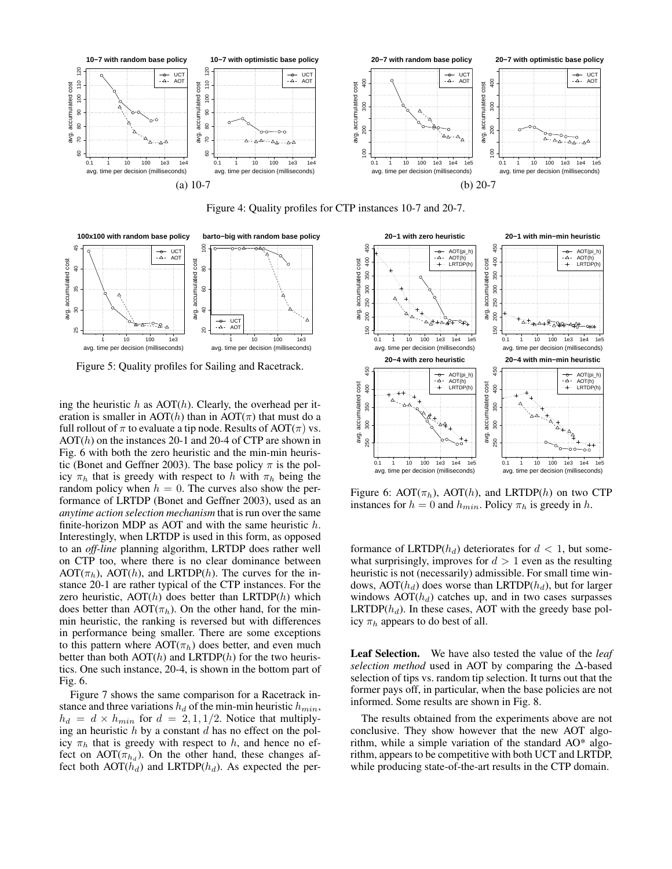

Figure 4: Quality profiles for CTP instances 10-7 and 20-7.



Figure 5: Quality profiles for Sailing and Racetrack.

ing the heuristic  $h$  as AOT $(h)$ . Clearly, the overhead per iteration is smaller in AOT(h) than in AOT( $\pi$ ) that must do a full rollout of  $\pi$  to evaluate a tip node. Results of AOT( $\pi$ ) vs.  $AOT(h)$  on the instances 20-1 and 20-4 of CTP are shown in Fig. 6 with both the zero heuristic and the min-min heuristic (Bonet and Geffner 2003). The base policy  $\pi$  is the policy  $\pi_h$  that is greedy with respect to h with  $\pi_h$  being the random policy when  $h = 0$ . The curves also show the performance of LRTDP (Bonet and Geffner 2003), used as an *anytime action selection mechanism* that is run over the same finite-horizon MDP as AOT and with the same heuristic h. Interestingly, when LRTDP is used in this form, as opposed to an *off-line* planning algorithm, LRTDP does rather well on CTP too, where there is no clear dominance between  $AOT(\pi_h)$ ,  $AOT(h)$ , and LRTDP(h). The curves for the instance 20-1 are rather typical of the CTP instances. For the zero heuristic,  $AOT(h)$  does better than  $LRTDP(h)$  which does better than  $AOT(\pi_h)$ . On the other hand, for the minmin heuristic, the ranking is reversed but with differences in performance being smaller. There are some exceptions to this pattern where  $AOT(\pi_h)$  does better, and even much better than both  $AOT(h)$  and  $LRTDP(h)$  for the two heuristics. One such instance, 20-4, is shown in the bottom part of Fig. 6.

Figure 7 shows the same comparison for a Racetrack instance and three variations  $h_d$  of the min-min heuristic  $h_{min}$ ,  $h_d = d \times h_{min}$  for  $d = 2, 1, 1/2$ . Notice that multiplying an heuristic  $h$  by a constant  $d$  has no effect on the policy  $\pi_h$  that is greedy with respect to h, and hence no effect on  $AOT(\pi_{h_d})$ . On the other hand, these changes affect both  $AOT(h_d)$  and LRTDP( $h_d$ ). As expected the per-



Figure 6: AOT $(\pi_h)$ , AOT $(h)$ , and LRTDP $(h)$  on two CTP instances for  $h = 0$  and  $h_{min}$ . Policy  $\pi_h$  is greedy in h.

formance of LRTDP( $h_d$ ) deteriorates for  $d < 1$ , but somewhat surprisingly, improves for  $d > 1$  even as the resulting heuristic is not (necessarily) admissible. For small time windows,  $AOT(h_d)$  does worse than LRTDP( $h_d$ ), but for larger windows  $AOT(h_d)$  catches up, and in two cases surpasses LRTDP( $h_d$ ). In these cases, AOT with the greedy base policy  $\pi_h$  appears to do best of all.

Leaf Selection. We have also tested the value of the *leaf selection method* used in AOT by comparing the ∆-based selection of tips vs. random tip selection. It turns out that the former pays off, in particular, when the base policies are not informed. Some results are shown in Fig. 8.

The results obtained from the experiments above are not conclusive. They show however that the new AOT algorithm, while a simple variation of the standard AO\* algorithm, appears to be competitive with both UCT and LRTDP, while producing state-of-the-art results in the CTP domain.